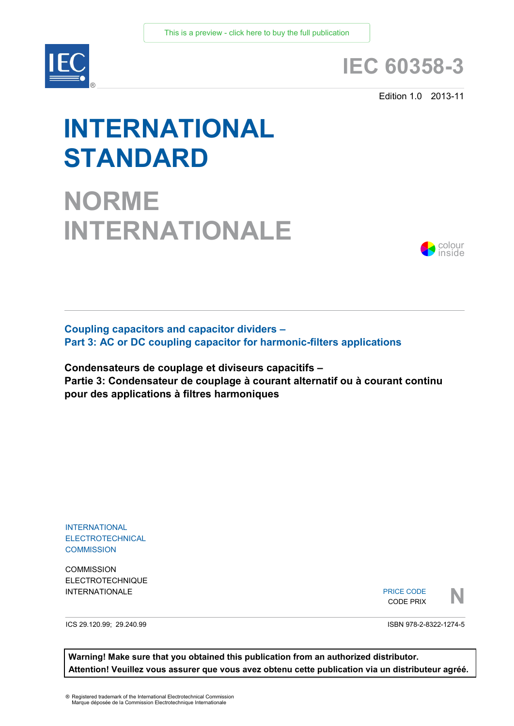

# **IEC 60358-3**

Edition 1.0 2013-11

# **INTERNATIONAL STANDARD**

**NORME INTERNATIONALE**



**Coupling capacitors and capacitor dividers – Part 3: AC or DC coupling capacitor for harmonic-filters applications**

**Condensateurs de couplage et diviseurs capacitifs – Partie 3: Condensateur de couplage à courant alternatif ou à courant continu pour des applications à filtres harmoniques**

INTERNATIONAL **ELECTROTECHNICAL COMMISSION** 

**COMMISSION** ELECTROTECHNIQUE

INTERNATIONALE PRICE CODE PRIX PRICE CODE CODE PRIX



ICS 29.120.99; 29.240.99

ISBN 978-2-8322-1274-5

**Warning! Make sure that you obtained this publication from an authorized distributor. Attention! Veuillez vous assurer que vous avez obtenu cette publication via un distributeur agréé.**

® Registered trademark of the International Electrotechnical Commission Marque déposée de la Commission Electrotechnique Internationale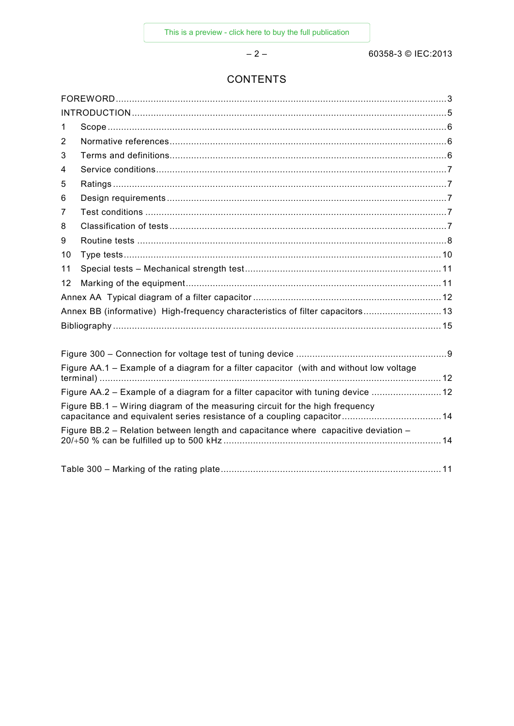$-2-$ 

# **CONTENTS**

| $\mathbf 1$                                                                             |                                                                               |  |  |  |
|-----------------------------------------------------------------------------------------|-------------------------------------------------------------------------------|--|--|--|
| 2                                                                                       |                                                                               |  |  |  |
| 3                                                                                       |                                                                               |  |  |  |
| 4                                                                                       |                                                                               |  |  |  |
| 5                                                                                       |                                                                               |  |  |  |
| 6                                                                                       |                                                                               |  |  |  |
| 7                                                                                       |                                                                               |  |  |  |
| 8                                                                                       |                                                                               |  |  |  |
| 9                                                                                       |                                                                               |  |  |  |
| 10                                                                                      |                                                                               |  |  |  |
| 11                                                                                      |                                                                               |  |  |  |
| 12                                                                                      |                                                                               |  |  |  |
|                                                                                         |                                                                               |  |  |  |
|                                                                                         | Annex BB (informative) High-frequency characteristics of filter capacitors 13 |  |  |  |
|                                                                                         |                                                                               |  |  |  |
|                                                                                         |                                                                               |  |  |  |
|                                                                                         |                                                                               |  |  |  |
| Figure AA.1 - Example of a diagram for a filter capacitor (with and without low voltage |                                                                               |  |  |  |
| Figure AA.2 – Example of a diagram for a filter capacitor with tuning device  12        |                                                                               |  |  |  |
| Figure BB.1 – Wiring diagram of the measuring circuit for the high frequency            |                                                                               |  |  |  |
| Figure BB.2 - Relation between length and capacitance where capacitive deviation -      |                                                                               |  |  |  |
|                                                                                         |                                                                               |  |  |  |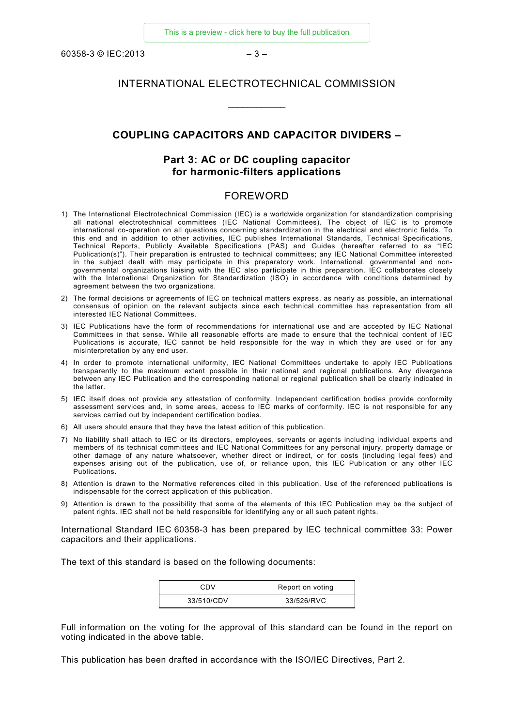60358-3 © IEC:2013 – 3 –

# INTERNATIONAL ELECTROTECHNICAL COMMISSION

\_\_\_\_\_\_\_\_\_\_\_\_

#### **COUPLING CAPACITORS AND CAPACITOR DIVIDERS –**

# **Part 3: AC or DC coupling capacitor for harmonic-filters applications**

## FOREWORD

- <span id="page-2-0"></span>1) The International Electrotechnical Commission (IEC) is a worldwide organization for standardization comprising all national electrotechnical committees (IEC National Committees). The object of IEC is to promote international co-operation on all questions concerning standardization in the electrical and electronic fields. To this end and in addition to other activities, IEC publishes International Standards, Technical Specifications, Technical Reports, Publicly Available Specifications (PAS) and Guides (hereafter referred to as "IEC Publication(s)"). Their preparation is entrusted to technical committees; any IEC National Committee interested in the subject dealt with may participate in this preparatory work. International, governmental and nongovernmental organizations liaising with the IEC also participate in this preparation. IEC collaborates closely with the International Organization for Standardization (ISO) in accordance with conditions determined by agreement between the two organizations.
- 2) The formal decisions or agreements of IEC on technical matters express, as nearly as possible, an international consensus of opinion on the relevant subjects since each technical committee has representation from all interested IEC National Committees.
- 3) IEC Publications have the form of recommendations for international use and are accepted by IEC National Committees in that sense. While all reasonable efforts are made to ensure that the technical content of IEC Publications is accurate, IEC cannot be held responsible for the way in which they are used or for any misinterpretation by any end user.
- 4) In order to promote international uniformity, IEC National Committees undertake to apply IEC Publications transparently to the maximum extent possible in their national and regional publications. Any divergence between any IEC Publication and the corresponding national or regional publication shall be clearly indicated in the latter.
- 5) IEC itself does not provide any attestation of conformity. Independent certification bodies provide conformity assessment services and, in some areas, access to IEC marks of conformity. IEC is not responsible for any services carried out by independent certification bodies.
- 6) All users should ensure that they have the latest edition of this publication.
- 7) No liability shall attach to IEC or its directors, employees, servants or agents including individual experts and members of its technical committees and IEC National Committees for any personal injury, property damage or other damage of any nature whatsoever, whether direct or indirect, or for costs (including legal fees) and expenses arising out of the publication, use of, or reliance upon, this IEC Publication or any other IEC Publications.
- 8) Attention is drawn to the Normative references cited in this publication. Use of the referenced publications is indispensable for the correct application of this publication.
- 9) Attention is drawn to the possibility that some of the elements of this IEC Publication may be the subject of patent rights. IEC shall not be held responsible for identifying any or all such patent rights.

International Standard IEC 60358-3 has been prepared by IEC technical committee 33: Power capacitors and their applications.

The text of this standard is based on the following documents:

| CDV        | Report on voting |
|------------|------------------|
| 33/510/CDV | 33/526/RVC       |

Full information on the voting for the approval of this standard can be found in the report on voting indicated in the above table.

This publication has been drafted in accordance with the ISO/IEC Directives, Part 2.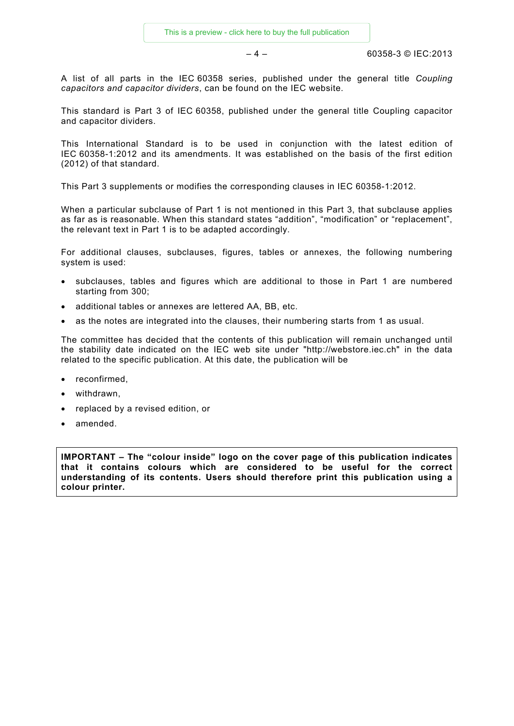$-4 - 60358-3$  © IEC:2013

A list of all parts in the IEC 60358 series, published under the general title *Coupling capacitors and capacitor dividers*, can be found on the IEC website.

This standard is Part 3 of IEC 60358, published under the general title Coupling capacitor and capacitor dividers.

This International Standard is to be used in conjunction with the latest edition of IEC 60358-1:2012 and its amendments. It was established on the basis of the first edition (2012) of that standard.

This Part 3 supplements or modifies the corresponding clauses in IEC 60358-1:2012.

When a particular subclause of Part 1 is not mentioned in this Part 3, that subclause applies as far as is reasonable. When this standard states "addition", "modification" or "replacement", the relevant text in Part 1 is to be adapted accordingly.

For additional clauses, subclauses, figures, tables or annexes, the following numbering system is used:

- subclauses, tables and figures which are additional to those in Part 1 are numbered starting from 300;
- additional tables or annexes are lettered AA, BB, etc.
- as the notes are integrated into the clauses, their numbering starts from 1 as usual.

The committee has decided that the contents of this publication will remain unchanged until the stability date indicated on the IEC web site under "http://webstore.iec.ch" in the data related to the specific publication. At this date, the publication will be

- reconfirmed,
- withdrawn,
- replaced by a revised edition, or
- amended.

**IMPORTANT – The "colour inside" logo on the cover page of this publication indicates that it contains colours which are considered to be useful for the correct understanding of its contents. Users should therefore print this publication using a colour printer.**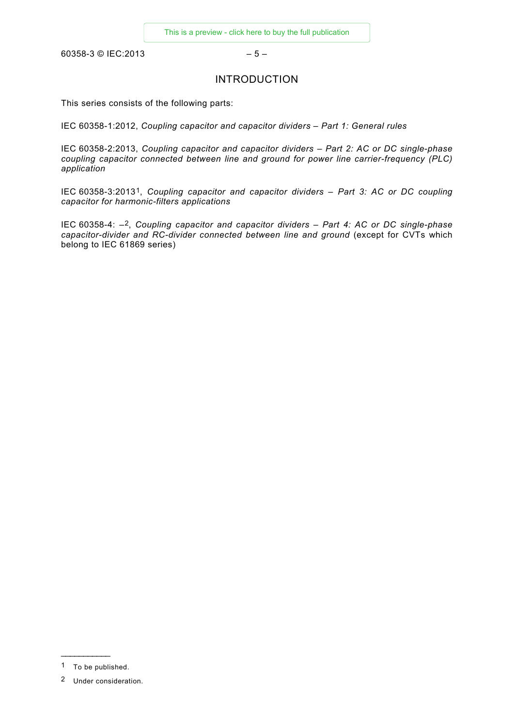<span id="page-4-0"></span>60358-3 © IEC:2013 – 5 –

## INTRODUCTION

This series consists of the following parts:

IEC 60358-1:2012, *Coupling capacitor and capacitor dividers – Part 1: General rules*

IEC 60358-2:2013, *Coupling capacitor and capacitor dividers – Part 2: AC or DC single-phase coupling capacitor connected between line and ground for power line carrier-frequency (PLC) application*

IEC 60358-3:2013[1](#page-4-1), *Coupling capacitor and capacitor dividers – Part 3: AC or DC coupling capacitor for harmonic-filters applications*

IEC 60358-4: –[2](#page-4-2), *Coupling capacitor and capacitor dividers – Part 4: AC or DC single-phase capacitor-divider and RC-divider connected between line and ground* (except for CVTs which belong to IEC 61869 series)

\_\_\_\_\_\_\_\_\_\_\_

<span id="page-4-1"></span><sup>1</sup> To be published.

<span id="page-4-2"></span><sup>2</sup> Under consideration.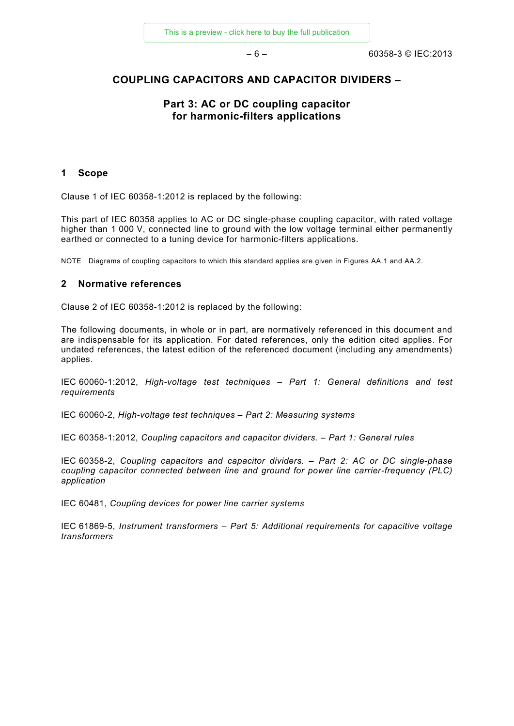#### **COUPLING CAPACITORS AND CAPACITOR DIVIDERS –**

# **Part 3: AC or DC coupling capacitor for harmonic-filters applications**

#### <span id="page-5-0"></span>**1 Scope**

Clause 1 of IEC 60358-1:2012 is replaced by the following:

This part of IEC 60358 applies to AC or DC single-phase coupling capacitor, with rated voltage higher than 1 000 V, connected line to ground with the low voltage terminal either permanently earthed or connected to a tuning device for harmonic-filters applications.

NOTE Diagrams of coupling capacitors to which this standard applies are given in Figures AA.1 and AA.2.

#### <span id="page-5-1"></span>**2 Normative references**

Clause 2 of IEC 60358-1:2012 is replaced by the following:

The following documents, in whole or in part, are normatively referenced in this document and are indispensable for its application. For dated references, only the edition cited applies. For undated references, the latest edition of the referenced document (including any amendments) applies.

IEC 60060-1:2012, *High-voltage test techniques – Part 1: General definitions and test requirements*

IEC 60060-2, *High-voltage test techniques – Part 2: Measuring systems*

IEC 60358-1:2012, *Coupling capacitors and capacitor dividers. – Part 1: General rules*

IEC 60358-2, *Coupling capacitors and capacitor dividers. – Part 2: AC or DC single-phase coupling capacitor connected between line and ground for power line carrier-frequency (PLC) application* 

IEC 60481, *Coupling devices for power line carrier systems*

<span id="page-5-2"></span>IEC 61869-5, *Instrument transformers – Part 5: Additional requirements for capacitive voltage transformers*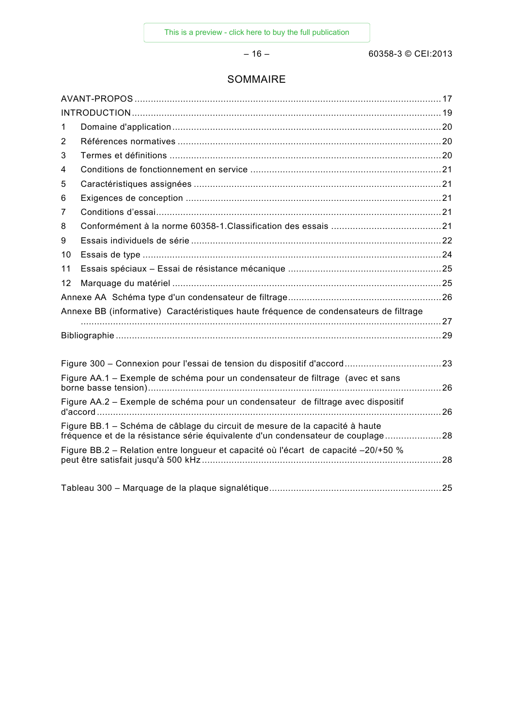# SOMMAIRE

| 1  |                                                                                                                                                                |    |  |  |
|----|----------------------------------------------------------------------------------------------------------------------------------------------------------------|----|--|--|
| 2  |                                                                                                                                                                |    |  |  |
| 3  |                                                                                                                                                                |    |  |  |
| 4  |                                                                                                                                                                |    |  |  |
| 5  |                                                                                                                                                                |    |  |  |
| 6  |                                                                                                                                                                |    |  |  |
| 7  |                                                                                                                                                                |    |  |  |
| 8  |                                                                                                                                                                |    |  |  |
| 9  |                                                                                                                                                                |    |  |  |
| 10 |                                                                                                                                                                |    |  |  |
| 11 |                                                                                                                                                                |    |  |  |
| 12 |                                                                                                                                                                |    |  |  |
|    |                                                                                                                                                                |    |  |  |
|    | Annexe BB (informative) Caractéristiques haute fréquence de condensateurs de filtrage                                                                          |    |  |  |
|    |                                                                                                                                                                |    |  |  |
|    |                                                                                                                                                                |    |  |  |
|    |                                                                                                                                                                |    |  |  |
|    |                                                                                                                                                                |    |  |  |
|    | Figure AA.1 – Exemple de schéma pour un condensateur de filtrage (avec et sans                                                                                 |    |  |  |
|    | Figure AA.2 - Exemple de schéma pour un condensateur de filtrage avec dispositif                                                                               | 26 |  |  |
|    | Figure BB.1 - Schéma de câblage du circuit de mesure de la capacité à haute<br>fréquence et de la résistance série équivalente d'un condensateur de couplage28 |    |  |  |
|    | Figure BB.2 – Relation entre longueur et capacité où l'écart de capacité –20/+50 %<br>28                                                                       |    |  |  |
|    |                                                                                                                                                                |    |  |  |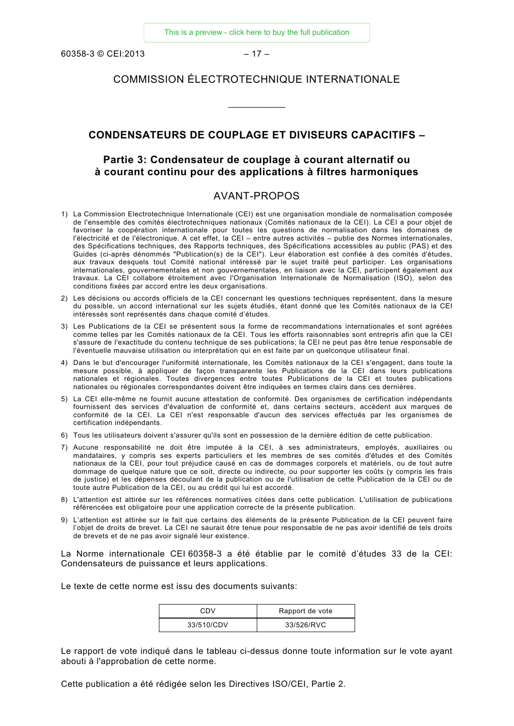$60358-3$  © CEI:2013 – 17 –

## COMMISSION ÉLECTROTECHNIQUE INTERNATIONALE

\_\_\_\_\_\_\_\_\_\_\_\_

#### **CONDENSATEURS DE COUPLAGE ET DIVISEURS CAPACITIFS –**

# **Partie 3: Condensateur de couplage à courant alternatif ou à courant continu pour des applications à filtres harmoniques**

#### AVANT-PROPOS

- <span id="page-7-0"></span>1) La Commission Electrotechnique Internationale (CEI) est une organisation mondiale de normalisation composée de l'ensemble des comités électrotechniques nationaux (Comités nationaux de la CEI). La CEI a pour objet de favoriser la coopération internationale pour toutes les questions de normalisation dans les domaines de l'électricité et de l'électronique. A cet effet, la CEI – entre autres activités – publie des Normes internationales, des Spécifications techniques, des Rapports techniques, des Spécifications accessibles au public (PAS) et des Guides (ci-après dénommés "Publication(s) de la CEI"). Leur élaboration est confiée à des comités d'études, aux travaux desquels tout Comité national intéressé par le sujet traité peut participer. Les organisations internationales, gouvernementales et non gouvernementales, en liaison avec la CEI, participent également aux travaux. La CEI collabore étroitement avec l'Organisation Internationale de Normalisation (ISO), selon des conditions fixées par accord entre les deux organisations.
- 2) Les décisions ou accords officiels de la CEI concernant les questions techniques représentent, dans la mesure du possible, un accord international sur les sujets étudiés, étant donné que les Comités nationaux de la CEI intéressés sont représentés dans chaque comité d'études.
- 3) Les Publications de la CEI se présentent sous la forme de recommandations internationales et sont agréées comme telles par les Comités nationaux de la CEI. Tous les efforts raisonnables sont entrepris afin que la CEI s'assure de l'exactitude du contenu technique de ses publications; la CEI ne peut pas être tenue responsable de l'éventuelle mauvaise utilisation ou interprétation qui en est faite par un quelconque utilisateur final.
- 4) Dans le but d'encourager l'uniformité internationale, les Comités nationaux de la CEI s'engagent, dans toute la mesure possible, à appliquer de façon transparente les Publications de la CEI dans leurs publications nationales et régionales. Toutes divergences entre toutes Publications de la CEI et toutes publications nationales ou régionales correspondantes doivent être indiquées en termes clairs dans ces dernières.
- 5) La CEI elle-même ne fournit aucune attestation de conformité. Des organismes de certification indépendants fournissent des services d'évaluation de conformité et, dans certains secteurs, accèdent aux marques de conformité de la CEI. La CEI n'est responsable d'aucun des services effectués par les organismes de certification indépendants.
- 6) Tous les utilisateurs doivent s'assurer qu'ils sont en possession de la dernière édition de cette publication.
- 7) Aucune responsabilité ne doit être imputée à la CEI, à ses administrateurs, employés, auxiliaires ou mandataires, y compris ses experts particuliers et les membres de ses comités d'études et des Comités nationaux de la CEI, pour tout préjudice causé en cas de dommages corporels et matériels, ou de tout autre dommage de quelque nature que ce soit, directe ou indirecte, ou pour supporter les coûts (y compris les frais de justice) et les dépenses découlant de la publication ou de l'utilisation de cette Publication de la CEI ou de toute autre Publication de la CEI, ou au crédit qui lui est accordé.
- 8) L'attention est attirée sur les références normatives citées dans cette publication. L'utilisation de publications référencées est obligatoire pour une application correcte de la présente publication.
- 9) L'attention est attirée sur le fait que certains des éléments de la présente Publication de la CEI peuvent faire l'objet de droits de brevet. La CEI ne saurait être tenue pour responsable de ne pas avoir identifié de tels droits de brevets et de ne pas avoir signalé leur existence.

La Norme internationale CEI 60358-3 a été établie par le comité d'études 33 de la CEI: Condensateurs de puissance et leurs applications.

Le texte de cette norme est issu des documents suivants:

| CDV        | Rapport de vote |
|------------|-----------------|
| 33/510/CDV | 33/526/RVC      |

Le rapport de vote indiqué dans le tableau ci-dessus donne toute information sur le vote ayant abouti à l'approbation de cette norme.

Cette publication a été rédigée selon les Directives ISO/CEI, Partie 2.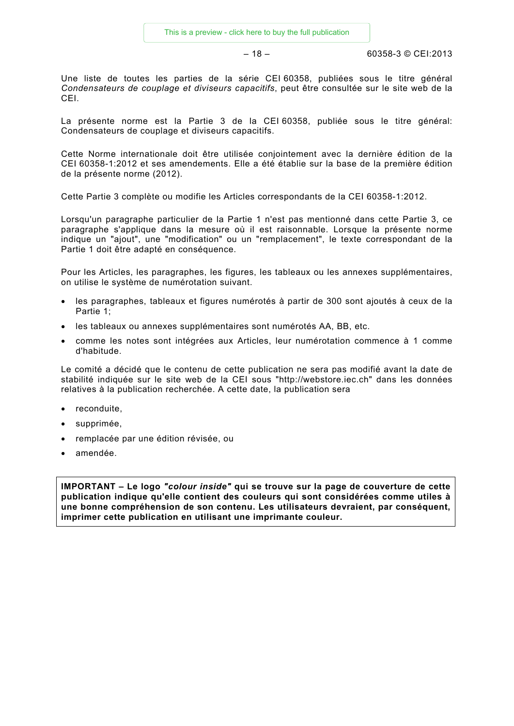$-18 - 18 - 60358 - 3 \circ \text{CE}$ 

Une liste de toutes les parties de la série CEI 60358, publiées sous le titre général *Condensateurs de couplage et diviseurs capacitifs*, peut être consultée sur le site web de la CEI.

La présente norme est la Partie 3 de la CEI 60358, publiée sous le titre général: Condensateurs de couplage et diviseurs capacitifs.

Cette Norme internationale doit être utilisée conjointement avec la dernière édition de la CEI 60358-1:2012 et ses amendements. Elle a été établie sur la base de la première édition de la présente norme (2012).

Cette Partie 3 complète ou modifie les Articles correspondants de la CEI 60358-1:2012.

Lorsqu'un paragraphe particulier de la Partie 1 n'est pas mentionné dans cette Partie 3, ce paragraphe s'applique dans la mesure où il est raisonnable. Lorsque la présente norme indique un "ajout", une "modification" ou un "remplacement", le texte correspondant de la Partie 1 doit être adapté en conséquence.

Pour les Articles, les paragraphes, les figures, les tableaux ou les annexes supplémentaires, on utilise le système de numérotation suivant.

- les paragraphes, tableaux et figures numérotés à partir de 300 sont ajoutés à ceux de la Partie 1;
- les tableaux ou annexes supplémentaires sont numérotés AA, BB, etc.
- comme les notes sont intégrées aux Articles, leur numérotation commence à 1 comme d'habitude.

Le comité a décidé que le contenu de cette publication ne sera pas modifié avant la date de stabilité indiquée sur le site web de la CEI sous "http://webstore.iec.ch" dans les données relatives à la publication recherchée. A cette date, la publication sera

- reconduite,
- supprimée,
- remplacée par une édition révisée, ou
- amendée.

**IMPORTANT – Le logo** *"colour inside"* **qui se trouve sur la page de couverture de cette publication indique qu'elle contient des couleurs qui sont considérées comme utiles à une bonne compréhension de son contenu. Les utilisateurs devraient, par conséquent, imprimer cette publication en utilisant une imprimante couleur.**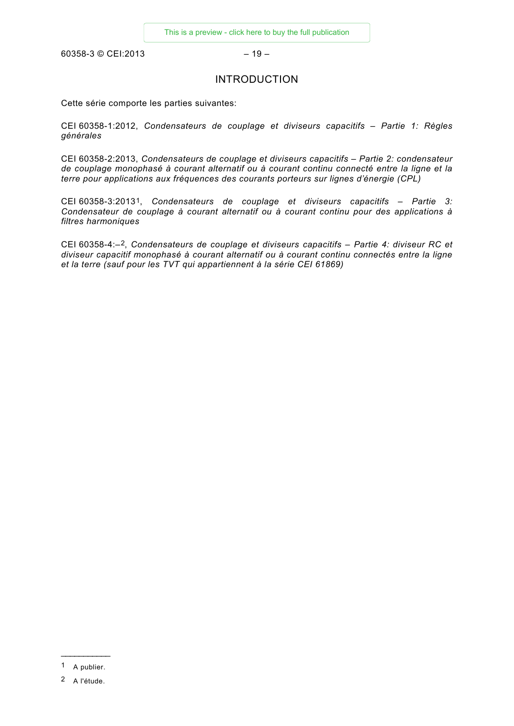<span id="page-9-0"></span> $60358-3$  © CEI:2013 – 19 –

### INTRODUCTION

Cette série comporte les parties suivantes:

CEI 60358-1:2012, *Condensateurs de couplage et diviseurs capacitifs – Partie 1: Règles générales*

CEI 60358-2:2013, *Condensateurs de couplage et diviseurs capacitifs – Partie 2: condensateur de couplage monophasé à courant alternatif ou à courant continu connecté entre la ligne et la terre pour applications aux fréquences des courants porteurs sur lignes d'énergie (CPL)*

CEI 60358-3:2013[1](#page-9-1), *Condensateurs de couplage et diviseurs capacitifs – Partie 3: Condensateur de couplage à courant alternatif ou à courant continu pour des applications à filtres harmoniques*

CEI 60358-4:–[2,](#page-9-2) *Condensateurs de couplage et diviseurs capacitifs – Partie 4: diviseur RC et diviseur capacitif monophasé à courant alternatif ou à courant continu connectés entre la ligne et la terre (sauf pour les TVT qui appartiennent à la série CEI 61869)*

<span id="page-9-1"></span>\_\_\_\_\_\_\_\_\_\_\_ 1 A publier.

<span id="page-9-2"></span><sup>2</sup> A l'étude.